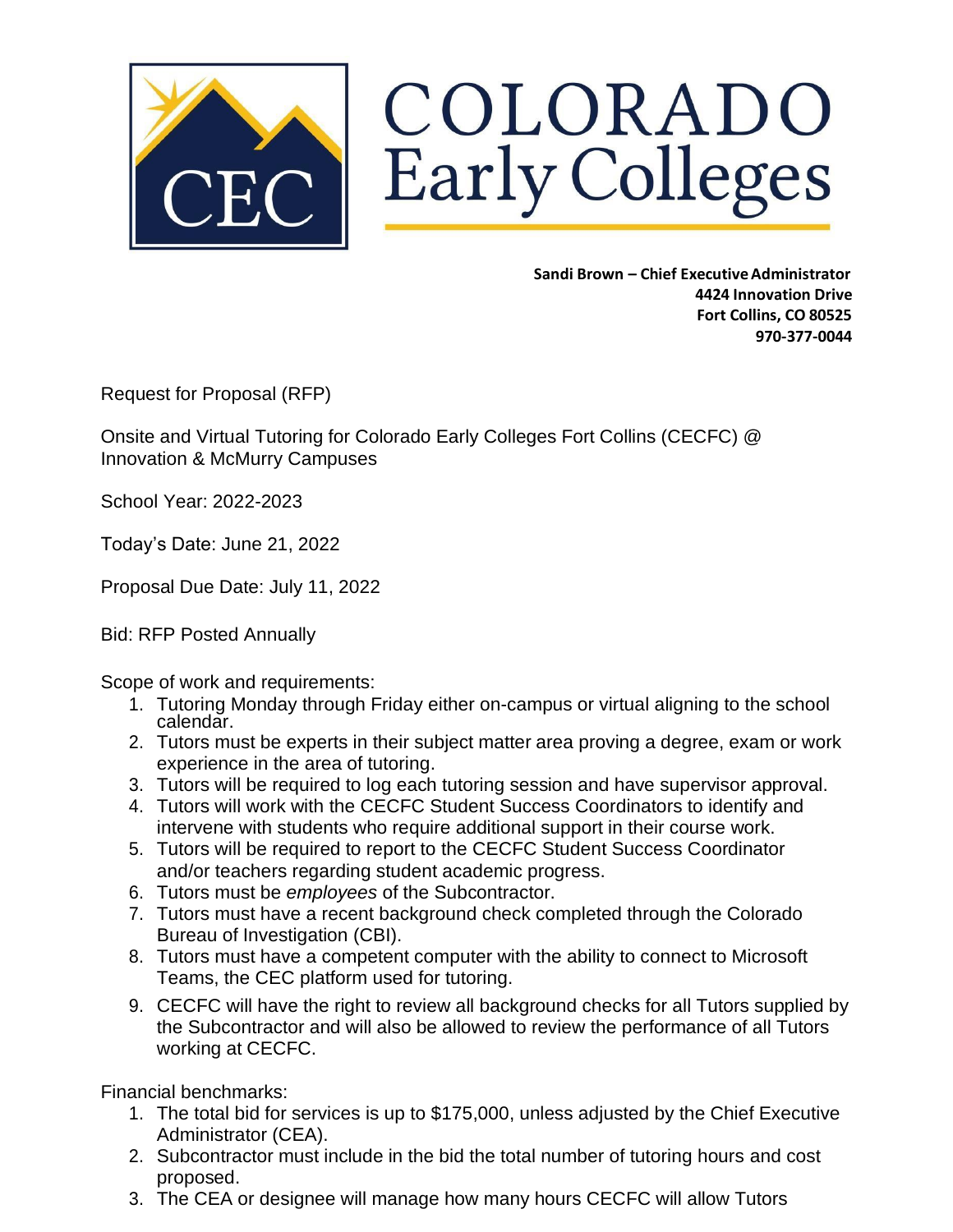

COLORADO Early Colleges

> **Sandi Brown – Chief ExecutiveAdministrator 4424 Innovation Drive Fort Collins, CO 80525 970-377-0044**

Request for Proposal (RFP)

Onsite and Virtual Tutoring for Colorado Early Colleges Fort Collins (CECFC) @ Innovation & McMurry Campuses

School Year: 2022-2023

Today's Date: June 21, 2022

Proposal Due Date: July 11, 2022

Bid: RFP Posted Annually

Scope of work and requirements:

- 1. Tutoring Monday through Friday either on-campus or virtual aligning to the school calendar.
- 2. Tutors must be experts in their subject matter area proving a degree, exam or work experience in the area of tutoring.
- 3. Tutors will be required to log each tutoring session and have supervisor approval.
- 4. Tutors will work with the CECFC Student Success Coordinators to identify and intervene with students who require additional support in their course work.
- 5. Tutors will be required to report to the CECFC Student Success Coordinator and/or teachers regarding student academic progress.
- 6. Tutors must be *employees* of the Subcontractor.
- 7. Tutors must have a recent background check completed through the Colorado Bureau of Investigation (CBI).
- 8. Tutors must have a competent computer with the ability to connect to Microsoft Teams, the CEC platform used for tutoring.
- 9. CECFC will have the right to review all background checks for all Tutors supplied by the Subcontractor and will also be allowed to review the performance of all Tutors working at CECFC.

Financial benchmarks:

- 1. The total bid for services is up to \$175,000, unless adjusted by the Chief Executive Administrator (CEA).
- 2. Subcontractor must include in the bid the total number of tutoring hours and cost proposed.
- 3. The CEA or designee will manage how many hours CECFC will allow Tutors